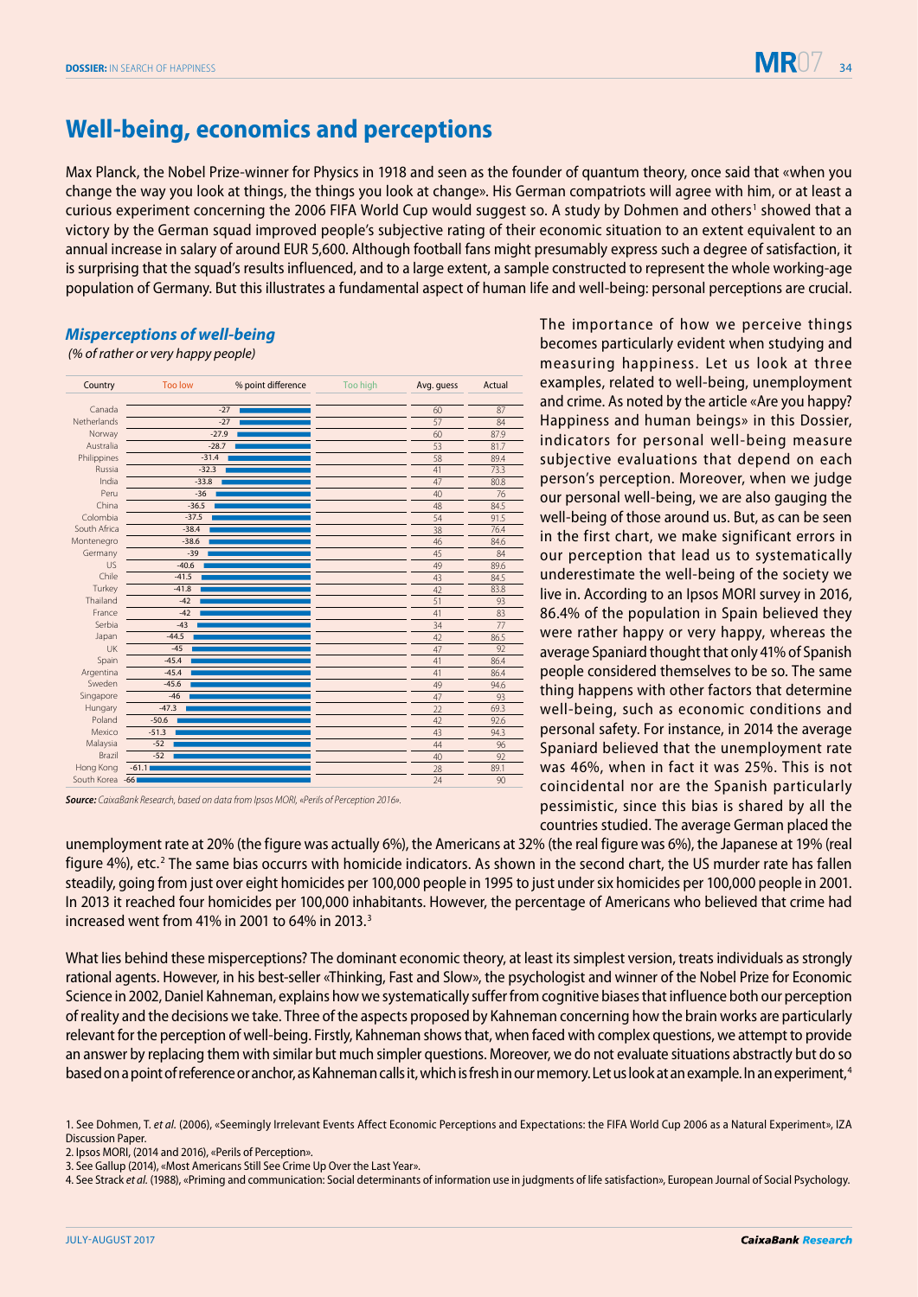

The importance of how we perceive things becomes particularly evident when studying and measuring happiness. Let us look at three examples, related to well-being, unemployment and crime. As noted by the article «Are you happy? Happiness and human beings» in this Dossier, indicators for personal well-being measure subjective evaluations that depend on each person's perception. Moreover, when we judge our personal well-being, we are also gauging the well-being of those around us. But, as can be seen in the first chart, we make significant errors in our perception that lead us to systematically underestimate the well-being of the society we live in. According to an Ipsos MORI survey in 2016, 86.4% of the population in Spain believed they were rather happy or very happy, whereas the average Spaniard thought that only 41% of Spanish people considered themselves to be so. The same thing happens with other factors that determine well-being, such as economic conditions and personal safety. For instance, in 2014 the average Spaniard believed that the unemployment rate was 46%, when in fact it was 25%. This is not coincidental nor are the Spanish particularly pessimistic, since this bias is shared by all the

## **Well-being, economics and perceptions**

Max Planck, the Nobel Prize-winner for Physics in 1918 and seen as the founder of quantum theory, once said that «when you change the way you look at things, the things you look at change». His German compatriots will agree with him, or at least a curious experiment concerning the 2006 FIFA World Cup would suggest so. A study by Dohmen and others<sup>1</sup> showed that a victory by the German squad improved people's subjective rating of their economic situation to an extent equivalent to an annual increase in salary of around EUR 5,600. Although football fans might presumably express such a degree of satisfaction, it is surprising that the squad's results influenced, and to a large extent, a sample constructed to represent the whole working-age population of Germany. But this illustrates a fundamental aspect of human life and well-being: personal perceptions are crucial.

## *Misperceptions of well-being*

 *(% of rather or very happy people)*



*Source: CaixaBank Research, based on data from Ipsos MORI, «Perils of Perception 2016».*

countries studied. The average German placed the unemployment rate at 20% (the figure was actually 6%), the Americans at 32% (the real figure was 6%), the Japanese at 19% (real figure 4%), etc.<sup>2</sup> The same bias occurrs with homicide indicators. As shown in the second chart, the US murder rate has fallen steadily, going from just over eight homicides per 100,000 people in 1995 to just under six homicides per 100,000 people in 2001. In 2013 it reached four homicides per 100,000 inhabitants. However, the percentage of Americans who believed that crime had increased went from 41% in 2001 to 64% in 2013.3

What lies behind these misperceptions? The dominant economic theory, at least its simplest version, treats individuals as strongly rational agents. However, in his best-seller «Thinking, Fast and Slow», the psychologist and winner of the Nobel Prize for Economic Science in 2002, Daniel Kahneman, explains how we systematically suffer from cognitive biases that influence both our perception of reality and the decisions we take. Three of the aspects proposed by Kahneman concerning how the brain works are particularly relevant for the perception of well-being. Firstly, Kahneman shows that, when faced with complex questions, we attempt to provide an answer by replacing them with similar but much simpler questions. Moreover, we do not evaluate situations abstractly but do so based on a point of reference or anchor, as Kahneman calls it, which is fresh in our memory. Let us look at an example. In an experiment,<sup>4</sup>

<sup>1.</sup> See Dohmen, T. *et al.* (2006), «Seemingly Irrelevant Events Affect Economic Perceptions and Expectations: the FIFA World Cup 2006 as a Natural Experiment», IZA Discussion Paper.

<sup>2.</sup> Ipsos MORI, (2014 and 2016), «Perils of Perception».

<sup>3.</sup> See Gallup (2014), «Most Americans Still See Crime Up Over the Last Year».

<sup>4.</sup> See Strack *et al.* (1988), «Priming and communication: Social determinants of information use in judgments of life satisfaction», European Journal of Social Psychology.